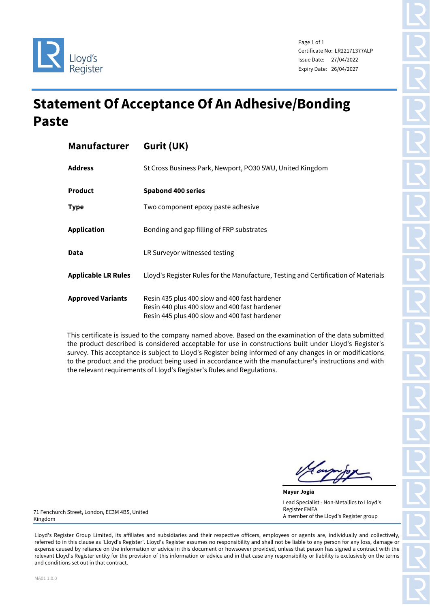

Page 1 of 1 Certificate No: LR22171377ALP Issue Date: 27/04/2022 Expiry Date: 26/04/2027

## **Statement Of Acceptance Of An Adhesive/Bonding Paste**

| <b>Manufacturer</b>        | Gurit (UK)                                                                                                                                      |  |  |  |  |
|----------------------------|-------------------------------------------------------------------------------------------------------------------------------------------------|--|--|--|--|
| <b>Address</b>             | St Cross Business Park, Newport, PO30 5WU, United Kingdom                                                                                       |  |  |  |  |
| <b>Product</b>             | <b>Spabond 400 series</b>                                                                                                                       |  |  |  |  |
| <b>Type</b>                | Two component epoxy paste adhesive                                                                                                              |  |  |  |  |
| <b>Application</b>         | Bonding and gap filling of FRP substrates                                                                                                       |  |  |  |  |
| Data                       | LR Surveyor witnessed testing                                                                                                                   |  |  |  |  |
| <b>Applicable LR Rules</b> | Lloyd's Register Rules for the Manufacture, Testing and Certification of Materials                                                              |  |  |  |  |
| <b>Approved Variants</b>   | Resin 435 plus 400 slow and 400 fast hardener<br>Resin 440 plus 400 slow and 400 fast hardener<br>Resin 445 plus 400 slow and 400 fast hardener |  |  |  |  |

This certificate is issued to the company named above. Based on the examination of the data submitted the product described is considered acceptable for use in constructions built under Lloyd's Register's survey. This acceptance is subject to Lloyd's Register being informed of any changes in or modifications to the product and the product being used in accordance with the manufacturer's instructions and with the relevant requirements of Lloyd's Register's Rules and Regulations.

**Mayur Jogia** Lead Specialist - Non-Metallics to Lloyd's Register EMEA A member of the Lloyd's Register group

71 Fenchurch Street, London, EC3M 4BS, United Kingdom

Lloyd's Register Group Limited, its affiliates and subsidiaries and their respective officers, employees or agents are, individually and collectively, referred to in this clause as 'Lloyd's Register'. Lloyd's Register assumes no responsibility and shall not be liable to any person for any loss, damage or expense caused by reliance on the information or advice in this document or howsoever provided, unless that person has signed a contract with the relevant Lloyd's Register entity for the provision of this information or advice and in that case any responsibility or liability is exclusively on the terms and conditions set out in that contract.